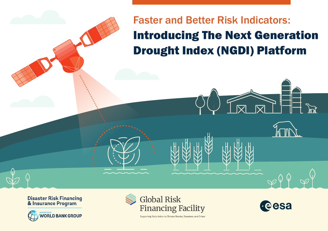# Faster and Better Risk Indicators: Introducing The Next Generation Drought Index (NGDI) Platform

Disaster Risk Financing<br>& Insurance Program





Supporting Early Action to Climate Shocks, Disasters, and Crises

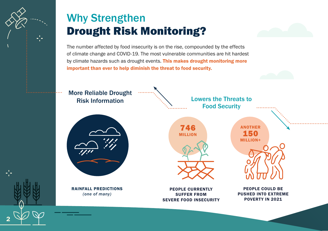

# Why Strengthen Drought Risk Monitoring?



The number affected by food insecurity is on the rise, compounded by the effects of climate change and COVID-19. The most vulnerable communities are hit hardest by climate hazards such as drought events. This makes drought monitoring more important than ever to help diminish the threat to food security.

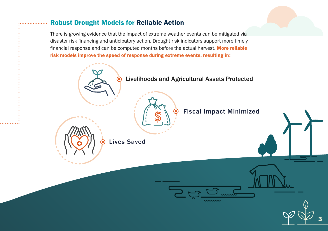#### Robust Drought Models for Reliable Action

There is growing evidence that the impact of extreme weather events can be mitigated via disaster risk financing and anticipatory action. Drought risk indicators support more timely financial response and can be computed months before the actual harvest. More reliable risk models improve the speed of response during extreme events, resulting in:

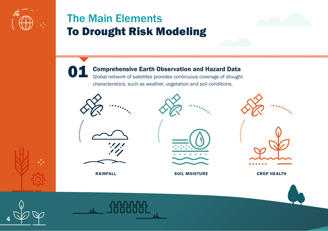

### The Main Elements To Drought Risk Modeling

Comprehensive Earth Observation and Hazard Data Global network of satellites provides continuous coverage of drought characteristics, such as weather, vegetation and soil conditions. 01

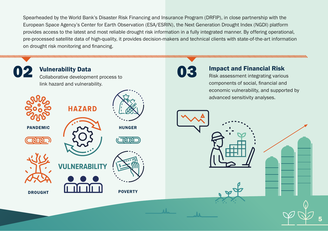Spearheaded by the World Bank's Disaster Risk Financing and Insurance Program (DRFIP), in close partnership with the European Space Agency's Center for Earth Observation (ESA/ESRIN), the Next Generation Drought Index (NGDI) platform provides access to the latest and most reliable drought risk information in a fully integrated manner. By offering operational, pre-processed satellite data of high-quality, it provides decision-makers and technical clients with state-of-the-art information on drought risk monitoring and financing.

02 Vulnerability Data<br>
Collaborative development process to **03** Vulnerability Data link hazard and vulnerability. HAZARD PANDEMIC (A) HUNGER **VIII NERARII** DROUGHT **IL III III DE POVERTY** 

### Impact and Financial Risk

Risk assessment integrating various components of social, financial and economic vulnerability, and supported by advanced sensitivity analyses.

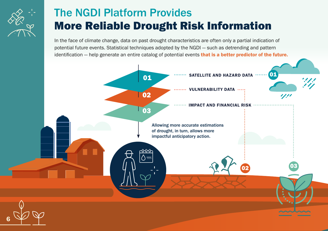

# The NGDI Platform Provides More Reliable Drought Risk Information

In the face of climate change, data on past drought characteristics are often only a partial indication of potential future events. Statistical techniques adopted by the NGDI — such as detrending and pattern identification — help generate an entire catalog of potential events that is a better predictor of the future.

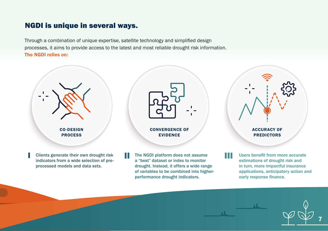### NGDI is unique in several ways.

Through a combination of unique expertise, satellite technology and simplified design processes, it aims to provide access to the latest and most reliable drought risk information. The NGDI relies on:



indicators from a wide selection of preprocessed models and data sets.

a "best" dataset or index to monitor drought. Instead, it offers a wide range of variables to be combined into higherperformance drought indicators.

estimations of drought risk and in turn, more impactful insurance applications, anticipatory action and early response finance.